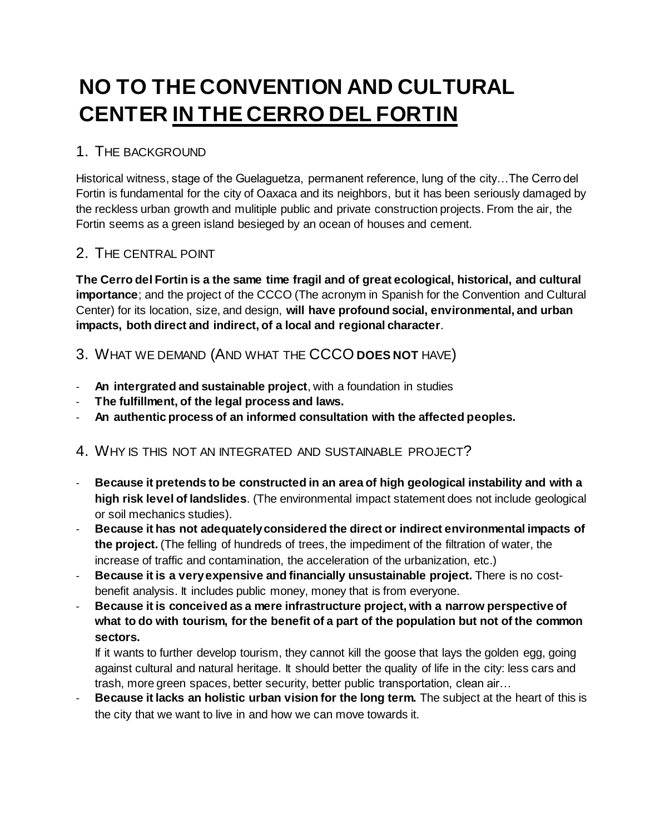# **NO TO THE CONVENTION AND CULTURAL CENTER IN THE CERRO DEL FORTIN**

# 1. THE BACKGROUND

Historical witness, stage of the Guelaguetza, permanent reference, lung of the city…The Cerro del Fortin is fundamental for the city of Oaxaca and its neighbors, but it has been seriously damaged by the reckless urban growth and mulitiple public and private construction projects. From the air, the Fortin seems as a green island besieged by an ocean of houses and cement.

### 2. THE CENTRAL POINT

**The Cerro del Fortin is a the same time fragil and of great ecological, historical, and cultural importance**; and the project of the CCCO (The acronym in Spanish for the Convention and Cultural Center) for its location, size, and design, **will have profound social, environmental, and urban impacts, both direct and indirect, of a local and regional character**.

3. WHAT WE DEMAND (AND WHAT THE CCCO **DOES NOT** HAVE)

- An intergrated and sustainable project, with a foundation in studies
- **The fulfillment, of the legal process and laws.**
- **An authentic process of an informed consultation with the affected peoples.**

# 4. WHY IS THIS NOT AN INTEGRATED AND SUSTAINABLE PROJECT?

- **Because it pretends to be constructed in an area of high geological instability and with a high risk level of landslides**. (The environmental impact statement does not include geological or soil mechanics studies).
- **Because it has not adequately considered the direct or indirect environmental impacts of the project.** (The felling of hundreds of trees, the impediment of the filtration of water, the increase of traffic and contamination, the acceleration of the urbanization, etc.)
- **Because it is a very expensive and financially unsustainable project.** There is no costbenefit analysis. It includes public money, money that is from everyone.
- **Because it is conceived as a mere infrastructure project, with a narrow perspective of what to do with tourism, for the benefit of a part of the population but not of the common sectors.**

If it wants to further develop tourism, they cannot kill the goose that lays the golden egg, going against cultural and natural heritage. It should better the quality of life in the city: less cars and trash, more green spaces, better security, better public transportation, clean air…

Because it lacks an holistic urban vision for the long term. The subject at the heart of this is the city that we want to live in and how we can move towards it.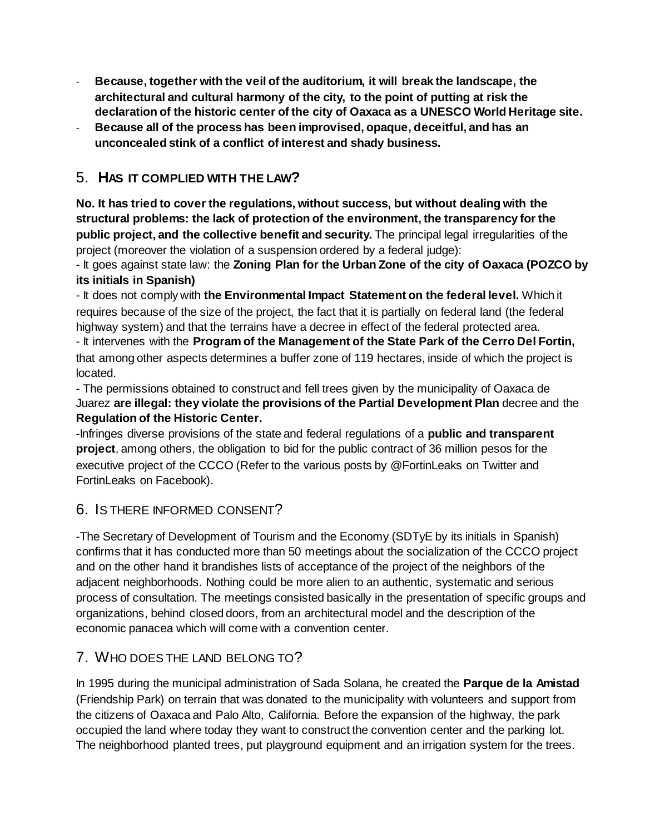- Because, together with the veil of the auditorium, it will break the landscape, the **architectural and cultural harmony of the city, to the point of putting at risk the declaration of the historic center of the city of Oaxaca as a UNESCO World Heritage site.**
- **Because all of the process has been improvised, opaque, deceitful, and has an unconcealed stink of a conflict of interest and shady business.**

# 5. **HAS IT COMPLIED WITH THE LAW?**

**No. It has tried to cover the regulations, without success, but without dealing with the structural problems: the lack of protection of the environment, the transparency for the public project, and the collective benefit and security.** The principal legal irregularities of the project (moreover the violation of a suspension ordered by a federal judge):

- It goes against state law: the **Zoning Plan for the Urban Zone of the city of Oaxaca (POZCO by its initials in Spanish)**

- It does not comply with **the Environmental Impact Statement on the federal level.** Which it requires because of the size of the project, the fact that it is partially on federal land (the federal highway system) and that the terrains have a decree in effect of the federal protected area. - It intervenes with the **Program of the Management of the State Park of the Cerro Del Fortin,** 

that among other aspects determines a buffer zone of 119 hectares, inside of which the project is located.

- The permissions obtained to construct and fell trees given by the municipality of Oaxaca de Juarez **are illegal: they violate the provisions of the Partial Development Plan** decree and the **Regulation of the Historic Center.**

-Infringes diverse provisions of the state and federal regulations of a **public and transparent project**, among others, the obligation to bid for the public contract of 36 million pesos for the executive project of the CCCO (Refer to the various posts by @FortinLeaks on Twitter and FortinLeaks on Facebook).

#### 6. IS THERE INFORMED CONSENT?

-The Secretary of Development of Tourism and the Economy (SDTyE by its initials in Spanish) confirms that it has conducted more than 50 meetings about the socialization of the CCCO project and on the other hand it brandishes lists of acceptance of the project of the neighbors of the adjacent neighborhoods. Nothing could be more alien to an authentic, systematic and serious process of consultation. The meetings consisted basically in the presentation of specific groups and organizations, behind closed doors, from an architectural model and the description of the economic panacea which will come with a convention center.

# 7. WHO DOES THE LAND BELONG TO?

In 1995 during the municipal administration of Sada Solana, he created the **Parque de la Amistad** (Friendship Park) on terrain that was donated to the municipality with volunteers and support from the citizens of Oaxaca and Palo Alto, California. Before the expansion of the highway, the park occupied the land where today they want to construct the convention center and the parking lot. The neighborhood planted trees, put playground equipment and an irrigation system for the trees.